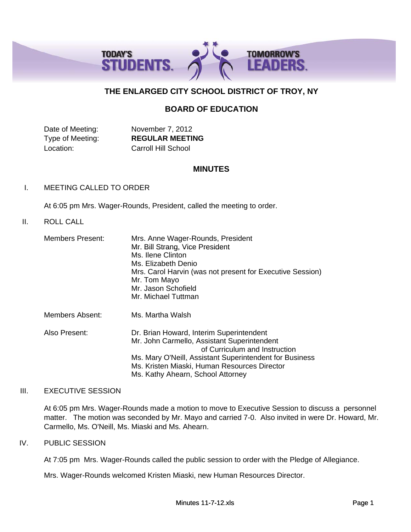

# **THE ENLARGED CITY SCHOOL DISTRICT OF TROY, NY**

# **BOARD OF EDUCATION**

Date of Meeting: November 7, 2012

Type of Meeting: **REGULAR MEETING** Location: Carroll Hill School

# **MINUTES**

## I. MEETING CALLED TO ORDER

At 6:05 pm Mrs. Wager-Rounds, President, called the meeting to order.

# II. ROLL CALL

| <b>Members Present:</b> | Mrs. Anne Wager-Rounds, President<br>Mr. Bill Strang, Vice President<br>Ms. Ilene Clinton<br>Ms. Elizabeth Denio<br>Mrs. Carol Harvin (was not present for Executive Session)<br>Mr. Tom Mayo<br>Mr. Jason Schofield<br>Mr. Michael Tuttman |
|-------------------------|---------------------------------------------------------------------------------------------------------------------------------------------------------------------------------------------------------------------------------------------|
| Members Absent:         | Ms. Martha Walsh                                                                                                                                                                                                                            |
| Also Present:           | Dr. Brian Howard, Interim Superintendent<br>Mr. John Carmello, Assistant Superintendent<br>of Curriculum and Instruction<br>Me Mary O'Noill, Accident Superintendent for Business                                                           |

- Ms. Mary O'Neill, Assistant Superintendent for Business
- Ms. Kristen Miaski, Human Resources Director
- Ms. Kathy Ahearn, School Attorney

## III. EXECUTIVE SESSION

At 6:05 pm Mrs. Wager-Rounds made a motion to move to Executive Session to discuss a personnel matter. The motion was seconded by Mr. Mayo and carried 7-0. Also invited in were Dr. Howard, Mr. Carmello, Ms. O'Neill, Ms. Miaski and Ms. Ahearn.

## IV. PUBLIC SESSION

At 7:05 pm Mrs. Wager-Rounds called the public session to order with the Pledge of Allegiance.

Mrs. Wager-Rounds welcomed Kristen Miaski, new Human Resources Director.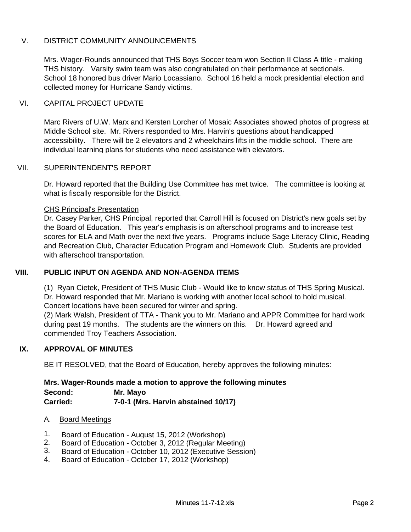# V. DISTRICT COMMUNITY ANNOUNCEMENTS

Mrs. Wager-Rounds announced that THS Boys Soccer team won Section II Class A title - making THS history. Varsity swim team was also congratulated on their performance at sectionals. School 18 honored bus driver Mario Locassiano. School 16 held a mock presidential election and collected money for Hurricane Sandy victims.

## VI. CAPITAL PROJECT UPDATE

Marc Rivers of U.W. Marx and Kersten Lorcher of Mosaic Associates showed photos of progress at Middle School site. Mr. Rivers responded to Mrs. Harvin's questions about handicapped accessibility. There will be 2 elevators and 2 wheelchairs lifts in the middle school. There are individual learning plans for students who need assistance with elevators.

## VII. SUPERINTENDENT'S REPORT

Dr. Howard reported that the Building Use Committee has met twice. The committee is looking at what is fiscally responsible for the District.

## CHS Principal's Presentation

Dr. Casey Parker, CHS Principal, reported that Carroll Hill is focused on District's new goals set by the Board of Education. This year's emphasis is on afterschool programs and to increase test scores for ELA and Math over the next five years. Programs include Sage Literacy Clinic, Reading and Recreation Club, Character Education Program and Homework Club. Students are provided and Recreation Club, Character Education Program and Homework Students are provided with afterschool transportation.

## **VIII. PUBLIC INPUT ON AGENDA AND NON-AGENDA ITEMS**

(1) Ryan Cietek, President of THS Music Club - Would like to know status of THS Spring Musical. Dr. Howard responded that Mr. Mariano is working with another local school to hold musical. Concert locations have been secured for winter and spring.

(2) Mark Walsh, President of TTA - Thank you to Mr. Mariano and APPR Committee for hard work during past 19 months. The students are the winners on this. Dr. Howard agreed and commended Troy Teachers Association.

# **IX. APPROVAL OF MINUTES**

BE IT RESOLVED, that the Board of Education, hereby approves the following minutes:

# **Mrs. Wager-Rounds made a motion to approve the following minutes Second: Mr. Mayo Carried: 7-0-1 (Mrs. Harvin abstained 10/17)**

## A. Board Meetings

- 1. Board of Education August 15, 2012 (Workshop)
- 2. Board of Education October 3, 2012 (Regular Meeting)
- 3. Board of Education October 10, 2012 (Executive Session)
- 4. Board of Education October 17, 2012 (Workshop)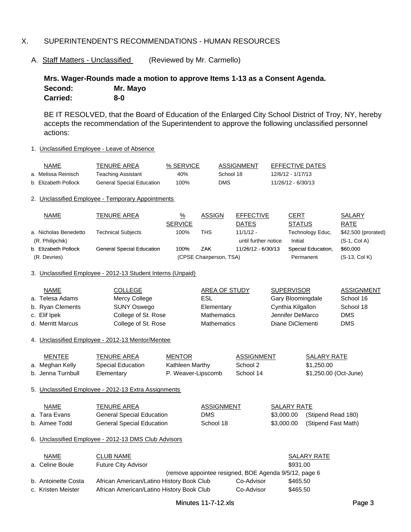# X. SUPERINTENDENT'S RECOMMENDATIONS - HUMAN RESOURCES

## A. Staff Matters - Unclassified (Reviewed by Mr. Carmello)

**Mrs. Wager-Rounds made a motion to approve Items 1-13 as a Consent Agenda. Second: Mr. Mayo Carried: 8-0** 

BE IT RESOLVED, that the Board of Education of the Enlarged City School District of Troy, NY, hereby accepts the recommendation of the Superintendent to approve the following unclassified personnel actions:

#### 1. Unclassified Employee - Leave of Absence

| NAME                 | TENURE AREA               | % SERVICE | ASSIGNMENT | EFFECTIVE DATES    |
|----------------------|---------------------------|-----------|------------|--------------------|
| a. Melissa Reinisch  | Teaching Assistant        | 40%       | School 18  | 12/6/12 - 1/17/13  |
| b. Elizabeth Pollock | General Special Education | 100%      | DMS        | 11/26/12 - 6/30/13 |

#### 2. Unclassified Employee - Temporary Appointments

| <b>NAME</b>                              | TENURE AREA                      | $\frac{9}{6}$  | <b>ASSIGN</b>                  | <b>EFFECTIVE</b>                    | CERT                            | <b>SALARY</b>                         |
|------------------------------------------|----------------------------------|----------------|--------------------------------|-------------------------------------|---------------------------------|---------------------------------------|
|                                          |                                  | <b>SERVICE</b> |                                | <b>DATES</b>                        | <b>STATUS</b>                   | RATE                                  |
| a. Nicholas Benedetto<br>(R. Philipchik) | <b>Technical Subjects</b>        | 100%           | THS                            | $11/1/12 -$<br>until further notice | Technology Educ,<br>Initial     | \$42,500 (prorated)<br>$(S-1, Col A)$ |
| b. Elizabeth Pollock<br>(R. Devries)     | <b>General Special Education</b> | 100%           | ZAK<br>(CPSE Chairperson, TSA) | 11/26/12 - 6/30/13                  | Special Education,<br>Permanent | \$60,000<br>$(S-13, Col K)$           |

#### 3. Unclassified Employee - 2012-13 Student Interns (Unpaid)

| b. Elizabeth Pollock | <b>General Special Education</b>                            | 100%            | ZAK                     | 11/26/12 - 6/30/13 | Special Education, | \$60,000          |
|----------------------|-------------------------------------------------------------|-----------------|-------------------------|--------------------|--------------------|-------------------|
| (R. Devries)         |                                                             |                 | (CPSE Chairperson, TSA) |                    | Permanent          | $(S-13, Col K)$   |
|                      | 3. Unclassified Employee - 2012-13 Student Interns (Unpaid) |                 |                         |                    |                    |                   |
| <b>NAME</b>          | <b>COLLEGE</b>                                              |                 | AREA OF STUDY           |                    | <b>SUPERVISOR</b>  | <b>ASSIGNMENT</b> |
| a. Telesa Adams      | Mercy College                                               |                 | ESL                     |                    | Gary Bloomingdale  | School 16         |
| b. Ryan Clements     | <b>SUNY Oswego</b>                                          |                 | Elementary              |                    | Cynthia Kilgallon  | School 18         |
| c. Elif Ipek         | College of St. Rose                                         |                 | <b>Mathematics</b>      |                    | Jennifer DeMarco   | <b>DMS</b>        |
| d. Merritt Marcus    | College of St. Rose                                         |                 | <b>Mathematics</b>      |                    | Diane DiClementi   | <b>DMS</b>        |
|                      | 4. Unclassified Employee - 2012-13 Mentor/Mentee            |                 |                         |                    |                    |                   |
| <b>MENTEE</b>        | TENURE AREA                                                 | <b>MENTOR</b>   |                         | <b>ASSIGNMENT</b>  | <b>SALARY RATE</b> |                   |
| a. Meghan Kelly      | Special Education                                           | Kathleen Marthy |                         | School 2           | \$1,250,00         |                   |

### 4. Unclassified Employee - 2012-13 Mentor/Mentee

| MENTEE            | <b>TENURE AREA</b> | <b>MENTOR</b>      | ASSIGNMENT | SALARY RATE           |
|-------------------|--------------------|--------------------|------------|-----------------------|
| a. Meghan Kelly   | Special Education  | Kathleen Marthy    | School 2   | \$1.250.00            |
| b. Jenna Turnbull | Elementary         | P. Weaver-Lipscomb | School 14  | \$1,250.00 (Oct-June) |

#### 5. Unclassified Employee - 2012-13 Extra Assignments

| <b>NAME</b>    | TENURE AREA               | ASSIGNMENT | SALARY RATE |                     |
|----------------|---------------------------|------------|-------------|---------------------|
| a.  Tara Evans | General Special Education | DMS        | \$3.000.00  | (Stipend Read 180)  |
| b. Aimee Todd  | General Special Education | School 18  | \$3.000.00  | (Stipend Fast Math) |

#### 6. Unclassified Employee - 2012-13 DMS Club Advisors

| <b>NAME</b>         | <b>CLUB NAME</b>                                      |            | SALARY RATE |
|---------------------|-------------------------------------------------------|------------|-------------|
| a. Celine Boule     | <b>Future City Advisor</b>                            |            | \$931.00    |
|                     | (remove appointee resigned, BOE Agenda 9/5/12, page 6 |            |             |
| b. Antoinette Costa | African American/Latino History Book Club             | Co-Advisor | \$465.50    |
| c. Kristen Meister  | African American/Latino History Book Club             | Co-Advisor | \$465.50    |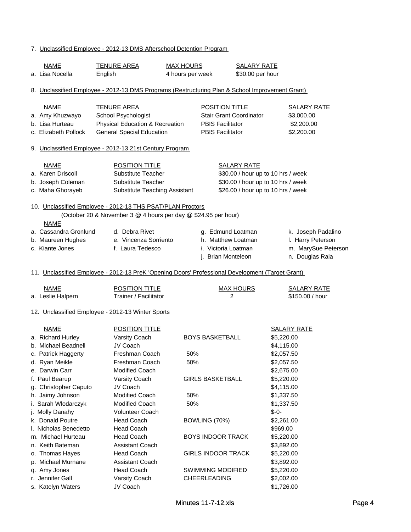### 7. Unclassified Employee - 2012-13 DMS Afterschool Detention Program

| NAME             | TENURE AREA | MAX HOURS        | SALARY RATE      |
|------------------|-------------|------------------|------------------|
| a.  Lisa Nocella | English     | 4 hours per week | \$30.00 per hour |

#### 8. Unclassified Employee - 2012-13 DMS Programs (Restructuring Plan & School Improvement Grant)

| <b>NAME</b><br>a. Amy Khuzwayo<br>b. Lisa Hurteau<br>c. Elizabeth Pollock                                                                  | TENURE AREA<br>School Psychologist<br>Physical Education & Recreation<br><b>General Special Education</b> | <b>POSITION TITLE</b><br><b>Stair Grant Coordinator</b><br><b>PBIS Facilitator</b><br><b>PBIS Facilitator</b> | SALARY RATE<br>\$3,000.00<br>\$2,200.00<br>\$2,200.00 |  |  |
|--------------------------------------------------------------------------------------------------------------------------------------------|-----------------------------------------------------------------------------------------------------------|---------------------------------------------------------------------------------------------------------------|-------------------------------------------------------|--|--|
|                                                                                                                                            | 9. Unclassified Employee - 2012-13 21st Century Program                                                   |                                                                                                               |                                                       |  |  |
| NAME                                                                                                                                       | POSITION TITLE                                                                                            | SALARY RATE                                                                                                   |                                                       |  |  |
| a. Karen Driscoll                                                                                                                          | Substitute Teacher                                                                                        | \$30.00 / hour up to 10 hrs / week                                                                            |                                                       |  |  |
| b. Joseph Coleman                                                                                                                          | Substitute Teacher                                                                                        | \$30.00 / hour up to 10 hrs / week                                                                            |                                                       |  |  |
| c. Maha Ghorayeb                                                                                                                           | Substitute Teaching Assistant                                                                             | \$26.00 / hour up to 10 hrs / week                                                                            |                                                       |  |  |
| 10. Unclassified Employee - 2012-13 THS PSAT/PLAN Proctors<br>(October 20 & November 3 $\omega$ 4 hours per day $\omega$ \$24.95 per hour) |                                                                                                           |                                                                                                               |                                                       |  |  |
| <b>NAME</b>                                                                                                                                |                                                                                                           |                                                                                                               |                                                       |  |  |
| a. Cassandra Gronlund                                                                                                                      | d. Debra Rivet                                                                                            | g. Edmund Loatman                                                                                             | k. Joseph Padalino                                    |  |  |
| b. Maureen Hughes                                                                                                                          | e. Vincenza Sorriento                                                                                     | h. Matthew Loatman                                                                                            | I. Harry Peterson                                     |  |  |
| c. Kiante Jones                                                                                                                            | f. Laura Tedesco                                                                                          | i. Victoria Loatman                                                                                           | m. MarySue Peterson                                   |  |  |

11. Unclassified Employee - 2012-13 PreK 'Opening Doors' Professional Development (Target Grant)

| NAME              | <b>POSITION TITLE</b> | <b>MAX HOURS</b> | <b>SALARY RATE</b> |
|-------------------|-----------------------|------------------|--------------------|
| a. Leslie Halpern | Trainer / Facilitator |                  | \$150,00 / hour    |

j. Brian Monteleon **n. Douglas Raia** 

#### 12. Unclassified Employee - 2012-13 Winter Sports

| <b>NAME</b>           | <b>POSITION TITLE</b>  |                           | <u>SALARY RATE</u> |
|-----------------------|------------------------|---------------------------|--------------------|
| a. Richard Hurley     | <b>Varsity Coach</b>   | <b>BOYS BASKETBALL</b>    | \$5,220.00         |
| b. Michael Beadnell   | JV Coach               |                           | \$4,115.00         |
| c. Patrick Haggerty   | Freshman Coach         | 50%                       | \$2,057.50         |
| d. Ryan Meikle        | Freshman Coach         | 50%                       | \$2,057.50         |
| e. Darwin Carr        | <b>Modified Coach</b>  |                           | \$2,675.00         |
| f. Paul Bearup        | <b>Varsity Coach</b>   | <b>GIRLS BASKETBALL</b>   | \$5,220.00         |
| g. Christopher Caputo | JV Coach               |                           | \$4,115.00         |
| h. Jaimy Johnson      | <b>Modified Coach</b>  | 50%                       | \$1,337.50         |
| i. Sarah Wlodarczyk   | <b>Modified Coach</b>  | 50%                       | \$1,337.50         |
| j. Molly Danahy       | <b>Volunteer Coach</b> |                           | $$ -0-$            |
| k. Donald Poutre      | <b>Head Coach</b>      | BOWLING (70%)             | \$2,261.00         |
| I. Nicholas Benedetto | <b>Head Coach</b>      |                           | \$969.00           |
| m. Michael Hurteau    | <b>Head Coach</b>      | <b>BOYS INDOOR TRACK</b>  | \$5,220.00         |
| n. Keith Bateman      | <b>Assistant Coach</b> |                           | \$3,892.00         |
| o. Thomas Hayes       | <b>Head Coach</b>      | <b>GIRLS INDOOR TRACK</b> | \$5,220.00         |
| p. Michael Murnane    | <b>Assistant Coach</b> |                           | \$3,892.00         |
| q. Amy Jones          | Head Coach             | <b>SWIMMING MODIFIED</b>  | \$5,220.00         |
| r. Jennifer Gall      | Varsity Coach          | <b>CHEERLEADING</b>       | \$2,002.00         |
| s. Katelyn Waters     | JV Coach               |                           | \$1,726.00         |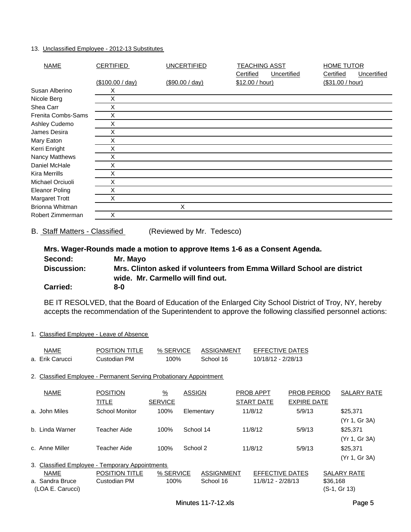## 13. Unclassified Employee - 2012-13 Substitutes

| <b>NAME</b>           | <b>CERTIFIED</b> | <b>UNCERTIFIED</b> | <b>TEACHING ASST</b><br>Certified<br>Uncertified | <b>HOME TUTOR</b><br>Certified<br>Uncertified |
|-----------------------|------------------|--------------------|--------------------------------------------------|-----------------------------------------------|
|                       | (\$100.00 / day) | (\$90.00 / day)    | \$12.00 / hour)                                  | (\$31.00 / hour)                              |
| Susan Alberino        | Х                |                    |                                                  |                                               |
| Nicole Berg           | Χ                |                    |                                                  |                                               |
| Shea Carr             | Χ                |                    |                                                  |                                               |
| Frenita Combs-Sams    | X                |                    |                                                  |                                               |
| Ashley Cudemo         | Χ                |                    |                                                  |                                               |
| James Desira          | Χ                |                    |                                                  |                                               |
| Mary Eaton            | Χ                |                    |                                                  |                                               |
| Kerri Enright         | Χ                |                    |                                                  |                                               |
| Nancy Matthews        | X                |                    |                                                  |                                               |
| Daniel McHale         | х                |                    |                                                  |                                               |
| <b>Kira Merrills</b>  | X                |                    |                                                  |                                               |
| Michael Orciuoli      | X                |                    |                                                  |                                               |
| <b>Eleanor Poling</b> | Χ                |                    |                                                  |                                               |
| <b>Margaret Trott</b> | Χ                |                    |                                                  |                                               |
| Brionna Whitman       |                  | X                  |                                                  |                                               |
| Robert Zimmerman      | X                |                    |                                                  |                                               |

B. Staff Matters - Classified (Reviewed by Mr. Tedesco)

|                    | Mrs. Wager-Rounds made a motion to approve Items 1-6 as a Consent Agenda.                                   |
|--------------------|-------------------------------------------------------------------------------------------------------------|
| Second:            | Mr. Mayo                                                                                                    |
| <b>Discussion:</b> | Mrs. Clinton asked if volunteers from Emma Willard School are district<br>wide. Mr. Carmello will find out. |
| <b>Carried:</b>    | $8 - 0$                                                                                                     |

BE IT RESOLVED, that the Board of Education of the Enlarged City School District of Troy, NY, hereby accepts the recommendation of the Superintendent to approve the following classified personnel actions:

## 1. Classified Employee - Leave of Absence

| <b>NAME</b>                                                         | <b>POSITION TITLE</b> | % SERVICE      | <b>ASSIGNMENT</b> | EFFECTIVE DATES    |                    |               |
|---------------------------------------------------------------------|-----------------------|----------------|-------------------|--------------------|--------------------|---------------|
| a. Erik Carucci                                                     | <b>Custodian PM</b>   | 100%           | School 16         | 10/18/12 - 2/28/13 |                    |               |
| 2. Classified Employee - Permanent Serving Probationary Appointment |                       |                |                   |                    |                    |               |
| <b>NAME</b>                                                         | <b>POSITION</b>       | $\frac{9}{6}$  | <b>ASSIGN</b>     | <b>PROB APPT</b>   | <b>PROB PERIOD</b> | SALARY RATE   |
|                                                                     | TITLE                 | <b>SERVICE</b> |                   | <b>START DATE</b>  | <b>EXPIRE DATE</b> |               |
| a. John Miles                                                       | <b>School Monitor</b> | 100%           | Elementary        | 11/8/12            | 5/9/13             | \$25,371      |
|                                                                     |                       |                |                   |                    |                    | (Yr 1, Gr 3A) |
| b. Linda Warner                                                     | Teacher Aide          | 100%           | School 14         | 11/8/12            | 5/9/13             | \$25,371      |
|                                                                     |                       |                |                   |                    |                    | (Yr 1, Gr 3A) |
| c. Anne Miller                                                      | Teacher Aide          | 100%           | School 2          | 11/8/12            | 5/9/13             | \$25,371      |
|                                                                     |                       |                |                   |                    |                    | (Yr 1, Gr 3A) |
| 3. Classified Employee - Temporary Appointments                     |                       |                |                   |                    |                    |               |
| <b>NAME</b>                                                         | <b>POSITION TITLE</b> | % SERVICE      | ASSIGNMENT        | EFFECTIVE DATES    |                    | SALARY RATE   |
| a. Sandra Bruce                                                     | Custodian PM          | 100%           | School 16         | 11/8/12 - 2/28/13  |                    | \$36,168      |
| (LOA E. Carucci)                                                    |                       |                |                   |                    |                    | (S-1, Gr 13)  |
|                                                                     |                       |                |                   |                    |                    |               |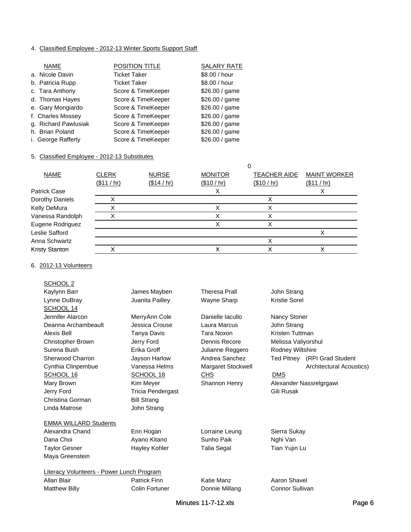# 4. Classified Employee - 2012-13 Winter Sports Support Staff

| <b>NAME</b>          | POSITION TITLE      | <b>SALARY RATE</b> |
|----------------------|---------------------|--------------------|
| a. Nicole Davin      | <b>Ticket Taker</b> | \$8.00 / hour      |
| b. Patricia Rupp     | <b>Ticket Taker</b> | \$8.00 / hour      |
| c. Tara Anthony      | Score & TimeKeeper  | \$26.00 / game     |
| d. Thomas Hayes      | Score & TimeKeeper  | \$26.00 / game     |
| e. Gary Mongiardo    | Score & TimeKeeper  | \$26.00 / game     |
| f. Charles Mossey    | Score & TimeKeeper  | \$26.00 / game     |
| g. Richard Pawlusiak | Score & TimeKeeper  | \$26.00 / game     |
| h. Brian Poland      | Score & TimeKeeper  | \$26.00 / game     |
| i. George Rafferty   | Score & TimeKeeper  | \$26.00 / game     |

## 5. Classified Employee - 2012-13 Substitutes

|              |              |                | 0                   |                     |
|--------------|--------------|----------------|---------------------|---------------------|
| <b>CLERK</b> | <b>NURSE</b> | <b>MONITOR</b> | <b>TEACHER AIDE</b> | <b>MAINT WORKER</b> |
| ( \$11 / hr) | (\$14 / hr)  | (\$10 / hr)    | (\$10 / hr)         | (\$11 / hr)         |
|              |              |                |                     |                     |
|              |              |                |                     |                     |
|              |              |                |                     |                     |
|              |              |                |                     |                     |
|              |              |                |                     |                     |
|              |              |                |                     |                     |
|              |              |                |                     |                     |
|              |              |                |                     |                     |
|              |              |                |                     |                     |

## 6. 2012-13 Volunteers

| <b>SCHOOL 2</b>                           |                          |                      |                              |
|-------------------------------------------|--------------------------|----------------------|------------------------------|
| Kaylynn Barr                              | James Mayben             | <b>Theresa Prall</b> | John Strang                  |
| Lynne DuBray                              | Juanita Pailley          | Wayne Sharp          | <b>Kristie Sorel</b>         |
| SCHOOL 14                                 |                          |                      |                              |
| Jennifer Alarcon                          | MerryAnn Cole            | Danielle lacullo     | <b>Nancy Stoner</b>          |
| Deanna Archambeault                       | Jessica Crouse           | Laura Marcus         | John Strang                  |
| Alexis Bell                               | Tanya Davis              | Tara Noxon           | Kristen Tuttman              |
| <b>Christopher Brown</b>                  | Jerry Ford               | Dennis Recore        | Melissa Valiyorshul          |
| Surena Bush                               | Erika Groff              | Julianne Reggero     | Rodney Wiltshire             |
| Sherwood Charron                          | Jayson Harlow            | Andrea Sanchez       | Ted Pitney (RPI Grad Student |
| Cynthia Clinpembue                        | Vanessa Helms            | Margaret Stockwell   | Architectural Acoustics)     |
| SCHOOL 16                                 | SCHOOL 18                | <b>CHS</b>           | <b>DMS</b>                   |
| Mary Brown                                | Kim Meyer                | Shannon Henry        | Alexander Nassrelgrgawi      |
| Jerry Ford                                | <b>Tricia Pendergast</b> |                      | Gili Rusak                   |
| Christina Gorman                          | <b>Bill Strang</b>       |                      |                              |
| Linda Matrose                             | John Strang              |                      |                              |
| <b>EMMA WILLARD Students</b>              |                          |                      |                              |
| Alexandra Chand                           | Erin Hogan               | Lorraine Leung       | Sierra Sukay                 |
| Dana Choi                                 | Ayano Kitano             | Sunho Paik           | Nghi Van                     |
| <b>Taylor Gesner</b>                      | Hayley Kohler            | Talia Segal          | Tian Yujin Lu                |
| Maya Greenstein                           |                          |                      |                              |
| Literacy Volunteers - Power Lunch Program |                          |                      |                              |
| Allan Blair                               | <b>Patrick Finn</b>      | Katie Manz           | Aaron Shavel                 |
| <b>Matthew Billy</b>                      | <b>Colin Fortuner</b>    | Donnie Millang       | <b>Connor Sullivan</b>       |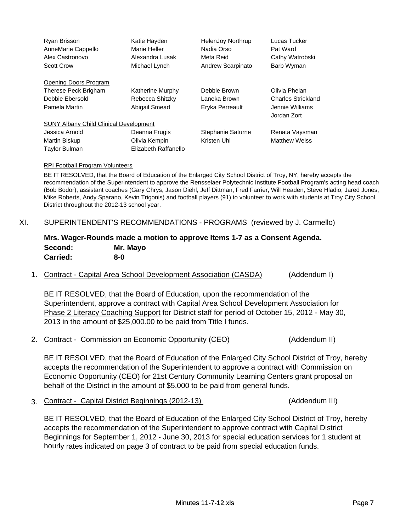| Ryan Brisson<br>AnneMarie Cappello<br>Alex Castronovo<br>Scott Crow | Katie Hayden<br>Marie Heller<br>Alexandra Lusak<br>Michael Lynch | <b>HelenJoy Northrup</b><br>Nadia Orso<br>Meta Reid<br>Andrew Scarpinato | Lucas Tucker<br>Pat Ward<br>Cathy Watrobski<br>Barb Wyman |
|---------------------------------------------------------------------|------------------------------------------------------------------|--------------------------------------------------------------------------|-----------------------------------------------------------|
| Opening Doors Program                                               |                                                                  |                                                                          |                                                           |
| Therese Peck Brigham                                                | Katherine Murphy                                                 | Debbie Brown                                                             | Olivia Phelan                                             |
| Debbie Ebersold                                                     | Rebecca Shitzky                                                  | Laneka Brown                                                             | <b>Charles Strickland</b>                                 |
| Pamela Martin                                                       | Abigail Smead                                                    | Eryka Perreault                                                          | Jennie Williams<br>Jordan Zort                            |
| <b>SUNY Albany Child Clinical Development</b>                       |                                                                  |                                                                          |                                                           |
| Jessica Arnold                                                      | Deanna Frugis                                                    | Stephanie Saturne                                                        | Renata Vaysman                                            |
| Martin Biskup                                                       | Olivia Kempin                                                    | Kristen Uhl                                                              | <b>Matthew Weiss</b>                                      |
| <b>Taylor Bulman</b>                                                | Elizabeth Raffanello                                             |                                                                          |                                                           |

## RPI Football Program Volunteers

BE IT RESOLVED, that the Board of Education of the Enlarged City School District of Troy, NY, hereby accepts the recommendation of the Superintendent to approve the Rensselaer Polytechnic Institute Football Program's acting head coach (Bob Bodor), assistant coaches (Gary Chrys, Jason Diehl, Jeff Dittman, Fred Farrier, Will Headen, Steve Hladio, Jared Jones, Mike Roberts, Andy Sparano, Kevin Trigonis) and football players (91) to volunteer to work with students at Troy City School District throughout the 2012-13 school year.

## XI. SUPERINTENDENT'S RECOMMENDATIONS - PROGRAMS (reviewed by J. Carmello)

#### **Mrs. Wager-Rounds made a motion to approve Items 1-7 as a Consent Agenda. Second: Mr. Mayo Carried: 8-0**

1. Contract - Capital Area School Development Association (CASDA) (Addendum I)

BE IT RESOLVED, that the Board of Education, upon the recommendation of the Superintendent, approve a contract with Capital Area School Development Association for Phase 2 Literacy Coaching Support for District staff for period of October 15, 2012 - May 30, 2013 in the amount of \$25,000.00 to be paid from Title I funds.

## 2. Contract - Commission on Economic Opportunity (CEO) (Addendum II)

BE IT RESOLVED, that the Board of Education of the Enlarged City School District of Troy, hereby accepts the recommendation of the Superintendent to approve a contract with Commission on Economic Opportunity (CEO) for 21st Century Community Learning Centers grant proposal on behalf of the District in the amount of \$5,000 to be paid from general funds.

3. Contract - Capital District Beginnings (2012-13) (Addendum III)

BE IT RESOLVED, that the Board of Education of the Enlarged City School District of Troy, hereby accepts the recommendation of the Superintendent to approve contract with Capital District Beginnings for September 1, 2012 - June 30, 2013 for special education services for 1 student at hourly rates indicated on page 3 of contract to be paid from special education funds.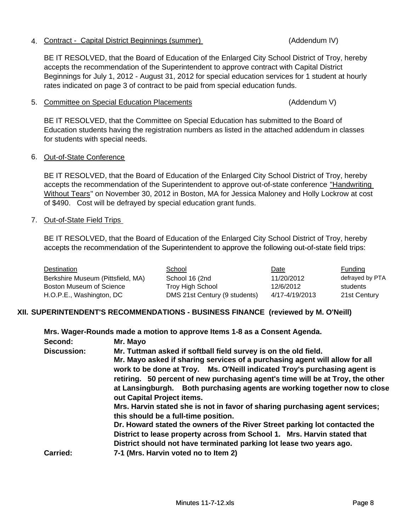## 4. Contract - Capital District Beginnings (summer) (Addendum IV)

BE IT RESOLVED, that the Board of Education of the Enlarged City School District of Troy, hereby accepts the recommendation of the Superintendent to approve contract with Capital District Beginnings for July 1, 2012 - August 31, 2012 for special education services for 1 student at hourly rates indicated on page 3 of contract to be paid from special education funds.

## 5. Committee on Special Education Placements (Addendum V)

BE IT RESOLVED, that the Committee on Special Education has submitted to the Board of Education students having the registration numbers as listed in the attached addendum in classes for students with special needs.

## 6. Out-of-State Conference

BE IT RESOLVED, that the Board of Education of the Enlarged City School District of Troy, hereby accepts the recommendation of the Superintendent to approve out-of-state conference "Handwriting Without Tears" on November 30, 2012 in Boston, MA for Jessica Maloney and Holly Lockrow at cost of \$490. Cost will be defrayed by special education grant funds.

## 7. Out-of-State Field Trips

BE IT RESOLVED, that the Board of Education of the Enlarged City School District of Troy, hereby accepts the recommendation of the Superintendent to approve the following out-of-state field trips: accepts the recommendation of the Superintendent to approve the following out-of-state field trips:

| Destination                       | School                        | Date           | <b>Funding</b>  |
|-----------------------------------|-------------------------------|----------------|-----------------|
| Berkshire Museum (Pittsfield, MA) | School 16 (2nd                | 11/20/2012     | defrayed by PTA |
| Boston Museum of Science          | Troy High School              | 12/6/2012      | students        |
| H.O.P.E., Washington, DC          | DMS 21st Century (9 students) | 4/17-4/19/2013 | 21st Century    |

## **XII. SUPERINTENDENT'S RECOMMENDATIONS - BUSINESS FINANCE (reviewed by M. O'Neill)**

**Mrs. Wager-Rounds made a motion to approve Items 1-8 as a Consent Agenda.**

| Second:            | Mr. Mayo                                                                                                                                                                                                                                                                                                                                                                                                                 |
|--------------------|--------------------------------------------------------------------------------------------------------------------------------------------------------------------------------------------------------------------------------------------------------------------------------------------------------------------------------------------------------------------------------------------------------------------------|
| <b>Discussion:</b> | Mr. Tuttman asked if softball field survey is on the old field.<br>Mr. Mayo asked if sharing services of a purchasing agent will allow for all<br>work to be done at Troy. Ms. O'Neill indicated Troy's purchasing agent is<br>retiring. 50 percent of new purchasing agent's time will be at Troy, the other<br>at Lansingburgh. Both purchasing agents are working together now to close<br>out Capital Project items. |
| Carried:           | Mrs. Harvin stated she is not in favor of sharing purchasing agent services;<br>this should be a full-time position.<br>Dr. Howard stated the owners of the River Street parking lot contacted the<br>District to lease property across from School 1. Mrs. Harvin stated that<br>District should not have terminated parking lot lease two years ago.<br>7-1 (Mrs. Harvin voted no to Item 2)                           |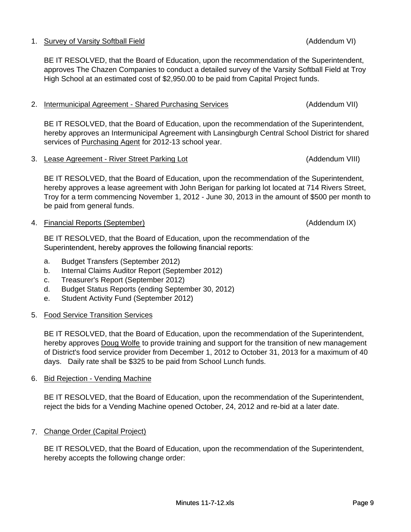# 1. Survey of Varsity Softball Field (Addendum VI)

BE IT RESOLVED, that the Board of Education, upon the recommendation of the Superintendent, approves The Chazen Companies to conduct a detailed survey of the Varsity Softball Field at Troy High School at an estimated cost of \$2,950.00 to be paid from Capital Project funds.

# 2. Intermunicipal Agreement - Shared Purchasing Services (Addendum VII)

BE IT RESOLVED, that the Board of Education, upon the recommendation of the Superintendent, hereby approves an Intermunicipal Agreement with Lansingburgh Central School District for shared services of Purchasing Agent for 2012-13 school year.

3. Lease Agreement - River Street Parking Lot (Addendum VIII)

BE IT RESOLVED, that the Board of Education, upon the recommendation of the Superintendent, hereby approves a lease agreement with John Berigan for parking lot located at 714 Rivers Street, Troy for a term commencing November 1, 2012 - June 30, 2013 in the amount of \$500 per month to be paid from general funds.

# 4. Financial Reports (September) (Addendum IX)

BE IT RESOLVED, that the Board of Education, upon the recommendation of the Superintendent, hereby approves the following financial reports:

- a. Budget Transfers (September 2012)
- b. Internal Claims Auditor Report (September 2012)
- c. Treasurer's Report (September 2012)
- d. Budget Status Reports (ending September 30, 2012)
- e. Student Activity Fund (September 2012)

# 5. Food Service Transition Services

BE IT RESOLVED, that the Board of Education, upon the recommendation of the Superintendent, hereby approves Doug Wolfe to provide training and support for the transition of new management of District's food service provider from December 1, 2012 to October 31, 2013 for a maximum of 40 days. Daily rate shall be \$325 to be paid from School Lunch funds.

# 6. Bid Rejection - Vending Machine

BE IT RESOLVED, that the Board of Education, upon the recommendation of the Superintendent, reject the bids for a Vending Machine opened October, 24, 2012 and re-bid at a later date.

# 7. Change Order (Capital Project)

BE IT RESOLVED, that the Board of Education, upon the recommendation of the Superintendent, hereby accepts the following change order: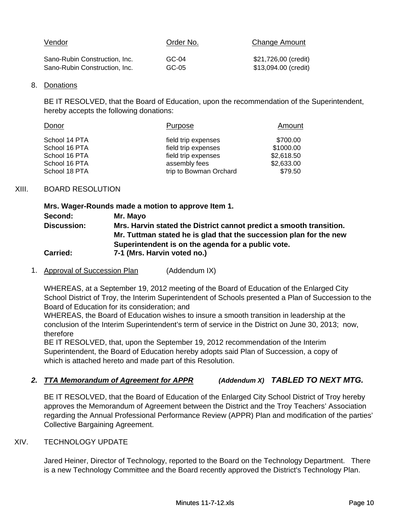| Vendor                        | Order No. | <b>Change Amount</b> |
|-------------------------------|-----------|----------------------|
| Sano-Rubin Construction, Inc. | GC-04     | \$21,726,00 (credit) |
| Sano-Rubin Construction, Inc. | GC-05     | \$13,094.00 (credit) |

## 8. Donations

BE IT RESOLVED, that the Board of Education, upon the recommendation of the Superintendent, hereby accepts the following donations:

| Donor         | Purpose                | Amount     |
|---------------|------------------------|------------|
| School 14 PTA | field trip expenses    | \$700.00   |
| School 16 PTA | field trip expenses    | \$1000.00  |
| School 16 PTA | field trip expenses    | \$2,618.50 |
| School 16 PTA | assembly fees          | \$2,633.00 |
| School 18 PTA | trip to Bowman Orchard | \$79.50    |

## XIII. BOARD RESOLUTION

**Mrs. Wager-Rounds made a motion to approve Item 1.** 

| Second:            | Mr. Mayo                                                            |
|--------------------|---------------------------------------------------------------------|
| <b>Discussion:</b> | Mrs. Harvin stated the District cannot predict a smooth transition. |
|                    | Mr. Tuttman stated he is glad that the succession plan for the new  |
|                    | Superintendent is on the agenda for a public vote.                  |
| <b>Carried:</b>    | 7-1 (Mrs. Harvin voted no.)                                         |

1. Approval of Succession Plan (Addendum IX)

WHEREAS, at a September 19, 2012 meeting of the Board of Education of the Enlarged City School District of Troy, the Interim Superintendent of Schools presented a Plan of Succession to the Board of Education for its consideration; and

WHEREAS, the Board of Education wishes to insure a smooth transition in leadership at the conclusion of the Interim Superintendent's term of service in the District on June 30, 2013; now, therefore

BE IT RESOLVED, that, upon the September 19, 2012 recommendation of the Interim Superintendent, the Board of Education hereby adopts said Plan of Succession, a copy of which is attached hereto and made part of this Resolution.

# *2. TTA Memorandum of Agreement for APPR (Addendum X) TABLED TO NEXT MTG.*

BE IT RESOLVED, that the Board of Education of the Enlarged City School District of Troy hereby approves the Memorandum of Agreement between the District and the Troy Teachers' Association regarding the Annual Professional Performance Review (APPR) Plan and modification of the parties' Collective Bargaining Agreement.

## XIV. TECHNOLOGY UPDATE

Jared Heiner, Director of Technology, reported to the Board on the Technology Department. There is a new Technology Committee and the Board recently approved the District's Technology Plan.